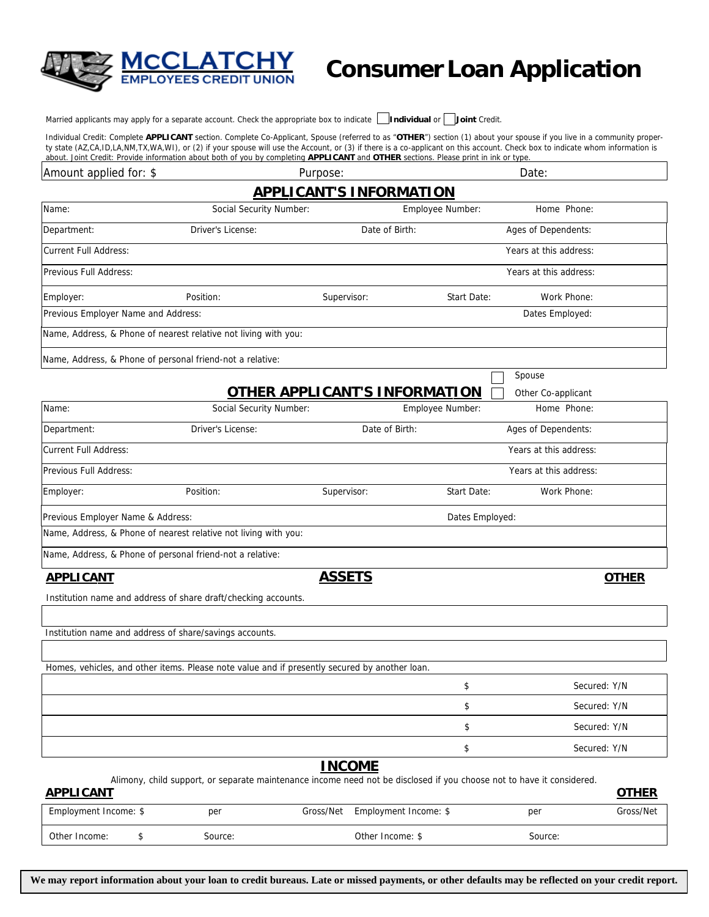

## **Consumer Loan Application**

Married applicants may apply for a separate account. Check the appropriate box to indicate **Individual** or **Joint** Credit.

Individual Credit: Complete **APPLICANT** section. Complete Co-Applicant, Spouse (referred to as "**OTHER**") section (1) about your spouse if you live in a community property state (AZ,CA,ID,LA,NM,TX,WA,WI), or (2) if your spouse will use the Account, or (3) if there is a co-applicant on this account. Check box to indicate whom information is about. Joint Credit: Provide information about both of you by completing **APPLICANT** and **OTHER** sections. Please print in ink or type.

| Amount applied for: \$                                    |                                                                                                                       | Purpose:                             |                  | Date:                  |              |
|-----------------------------------------------------------|-----------------------------------------------------------------------------------------------------------------------|--------------------------------------|------------------|------------------------|--------------|
|                                                           |                                                                                                                       | <b>APPLICANT'S INFORMATION</b>       |                  |                        |              |
| Name:                                                     | Social Security Number:                                                                                               |                                      | Employee Number: | Home Phone:            |              |
| Department:                                               | Driver's License:                                                                                                     | Date of Birth:                       |                  | Ages of Dependents:    |              |
| <b>Current Full Address:</b>                              |                                                                                                                       |                                      |                  | Years at this address: |              |
| Previous Full Address:                                    |                                                                                                                       |                                      |                  | Years at this address: |              |
| Employer:                                                 | Position:                                                                                                             | Supervisor:                          | Start Date:      | Work Phone:            |              |
| Previous Employer Name and Address:                       |                                                                                                                       |                                      |                  | Dates Employed:        |              |
|                                                           | Name, Address, & Phone of nearest relative not living with you:                                                       |                                      |                  |                        |              |
| Name, Address, & Phone of personal friend-not a relative: |                                                                                                                       |                                      |                  |                        |              |
|                                                           |                                                                                                                       |                                      |                  | Spouse                 |              |
|                                                           |                                                                                                                       | <u>OTHER APPLICANT'S INFORMATION</u> |                  | Other Co-applicant     |              |
| Name:                                                     | Social Security Number:                                                                                               |                                      | Employee Number: | Home Phone:            |              |
| Department:                                               | Driver's License:                                                                                                     | Date of Birth:                       |                  | Ages of Dependents:    |              |
| <b>Current Full Address:</b>                              |                                                                                                                       |                                      |                  | Years at this address: |              |
| Previous Full Address:                                    |                                                                                                                       |                                      |                  | Years at this address: |              |
| Employer:                                                 | Position:                                                                                                             | Supervisor:                          | Start Date:      | Work Phone:            |              |
| Previous Employer Name & Address:                         |                                                                                                                       |                                      | Dates Employed:  |                        |              |
|                                                           | Name, Address, & Phone of nearest relative not living with you:                                                       |                                      |                  |                        |              |
| Name, Address, & Phone of personal friend-not a relative: |                                                                                                                       |                                      |                  |                        |              |
| <b>APPLICANT</b>                                          |                                                                                                                       | <b>ASSETS</b>                        |                  |                        | <b>OTHER</b> |
|                                                           | Institution name and address of share draft/checking accounts.                                                        |                                      |                  |                        |              |
|                                                           |                                                                                                                       |                                      |                  |                        |              |
| Institution name and address of share/savings accounts.   |                                                                                                                       |                                      |                  |                        |              |
|                                                           | Homes, vehicles, and other items. Please note value and if presently secured by another loan.                         |                                      |                  |                        |              |
|                                                           |                                                                                                                       |                                      | \$               |                        | Secured: Y/N |
|                                                           |                                                                                                                       |                                      | \$               |                        | Secured: Y/N |
|                                                           |                                                                                                                       |                                      | \$               |                        | Secured: Y/N |
|                                                           |                                                                                                                       |                                      | \$               |                        | Secured: Y/N |
|                                                           |                                                                                                                       | <b>INCOME</b>                        |                  |                        |              |
| <b>APPLICANT</b>                                          | Alimony, child support, or separate maintenance income need not be disclosed if you choose not to have it considered. |                                      |                  |                        | <b>OTHER</b> |
| Employment Income: \$                                     | per                                                                                                                   | Gross/Net<br>Employment Income: \$   |                  | per                    | Gross/Net    |

**We may report information about your loan to credit bureaus. Late or missed payments, or other defaults may be reflected on your credit report.**

Other Income: \$ Source: \$ Source: \$ Source: 0ther Income: \$ Source: